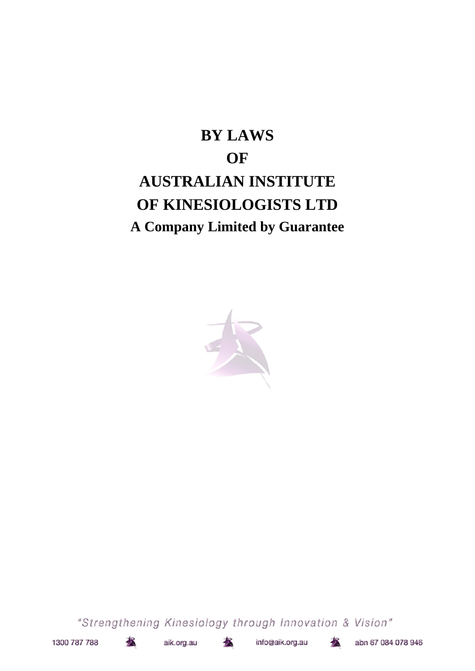# **BY LAWS OF AUSTRALIAN INSTITUTE OF KINESIOLOGISTS LTD A Company Limited by Guarantee**



"Strengthening Kinesiology through Innovation & Vision"



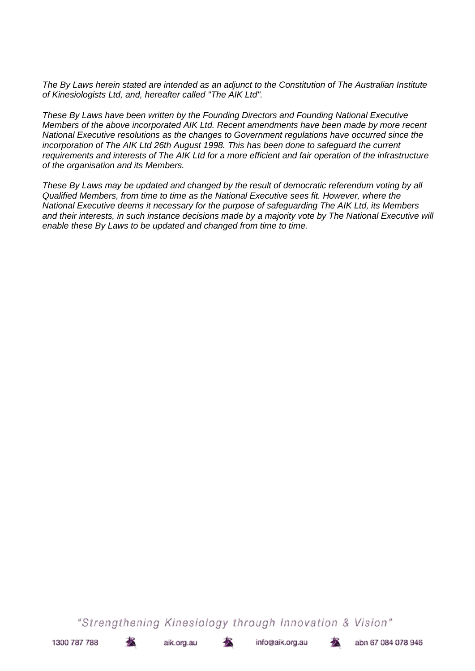*The By Laws herein stated are intended as an adjunct to the Constitution of The Australian Institute of Kinesiologists Ltd, and, hereafter called "The AIK Ltd".*

*These By Laws have been written by the Founding Directors and Founding National Executive Members of the above incorporated AIK Ltd. Recent amendments have been made by more recent National Executive resolutions as the changes to Government regulations have occurred since the incorporation of The AIK Ltd 26th August 1998. This has been done to safeguard the current requirements and interests of The AIK Ltd for a more efficient and fair operation of the infrastructure of the organisation and its Members.*

*These By Laws may be updated and changed by the result of democratic referendum voting by all Qualified Members, from time to time as the National Executive sees fit. However, where the National Executive deems it necessary for the purpose of safeguarding The AIK Ltd, its Members* and their interests, in such instance decisions made by a majority vote by The National Executive will *enable these By Laws to be updated and changed from time to time.*

"Strengthening Kinesiology through Innovation & Vision"

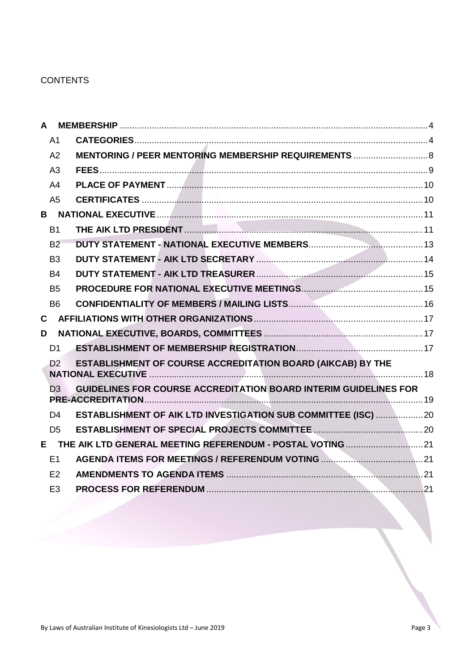# **CONTENTS**

|              | $\mathsf{A}$   |                                                                         |  |  |
|--------------|----------------|-------------------------------------------------------------------------|--|--|
|              | A <sub>1</sub> |                                                                         |  |  |
|              | A2             | MENTORING / PEER MENTORING MEMBERSHIP REQUIREMENTS  8                   |  |  |
|              | A <sub>3</sub> |                                                                         |  |  |
|              | A <sub>4</sub> |                                                                         |  |  |
|              | A <sub>5</sub> |                                                                         |  |  |
|              |                |                                                                         |  |  |
|              | <b>B1</b>      |                                                                         |  |  |
|              | B <sub>2</sub> |                                                                         |  |  |
|              | B <sub>3</sub> |                                                                         |  |  |
|              | <b>B4</b>      |                                                                         |  |  |
|              | B <sub>5</sub> |                                                                         |  |  |
|              | <b>B6</b>      |                                                                         |  |  |
| $\mathbf{C}$ |                |                                                                         |  |  |
| D            |                |                                                                         |  |  |
|              | D <sub>1</sub> |                                                                         |  |  |
|              | D <sub>2</sub> | ESTABLISHMENT OF COURSE ACCREDITATION BOARD (AIKCAB) BY THE             |  |  |
|              | D <sub>3</sub> | <b>GUIDELINES FOR COURSE ACCREDITATION BOARD INTERIM GUIDELINES FOR</b> |  |  |
|              | D <sub>4</sub> | ESTABLISHMENT OF AIK LTD INVESTIGATION SUB COMMITTEE (ISC)  20          |  |  |
|              | D <sub>5</sub> |                                                                         |  |  |
|              |                |                                                                         |  |  |
|              | E1             |                                                                         |  |  |
|              | E2             |                                                                         |  |  |
|              | E <sub>3</sub> |                                                                         |  |  |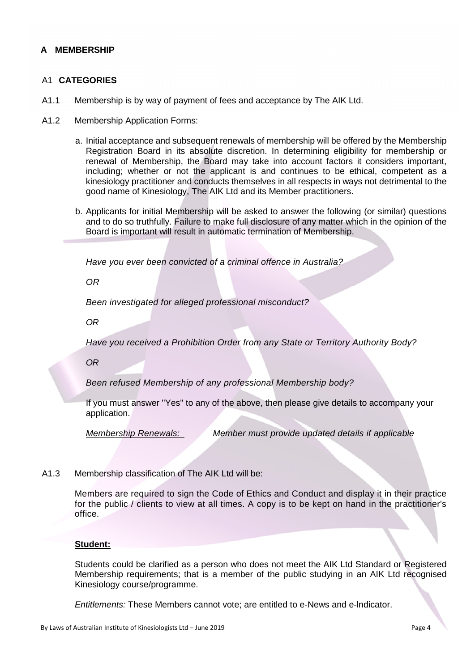# **A MEMBERSHIP**

#### A1 **CATEGORIES**

- A1.1 Membership is by way of payment of fees and acceptance by The AIK Ltd.
- A1.2 Membership Application Forms:
	- a. Initial acceptance and subsequent renewals of membership will be offered by the Membership Registration Board in its absolute discretion. In determining eligibility for membership or renewal of Membership, the Board may take into account factors it considers important, including; whether or not the applicant is and continues to be ethical, competent as a kinesiology practitioner and conducts themselves in all respects in ways not detrimental to the good name of Kinesiology, The AIK Ltd and its Member practitioners.
	- b. Applicants for initial Membership will be asked to answer the following (or similar) questions and to do so truthfully. Failure to make full disclosure of any matter which in the opinion of the Board is important will result in automatic termination of Membership.

*Have you ever been convicted of a criminal offence in Australia?*

*OR*

*Been investigated for alleged professional misconduct?*

*OR*

*Have you received a Prohibition Order from any State or Territory Authority Body?*

*OR*

*Been refused Membership of any professional Membership body?*

If you must answer "Yes" to any of the above, then please give details to accompany your application.

*Membership Renewals: Member must provide updated details if applicable*

A1.3 Membership classification of The AIK Ltd will be:

Members are required to sign the Code of Ethics and Conduct and display it in their practice for the public / clients to view at all times. A copy is to be kept on hand in the practitioner's office.

#### **Student:**

Students could be clarified as a person who does not meet the AIK Ltd Standard or Registered Membership requirements; that is a member of the public studying in an AIK Ltd recognised Kinesiology course/programme.

*Entitlements:* These Members cannot vote; are entitled to e-News and e-lndicator.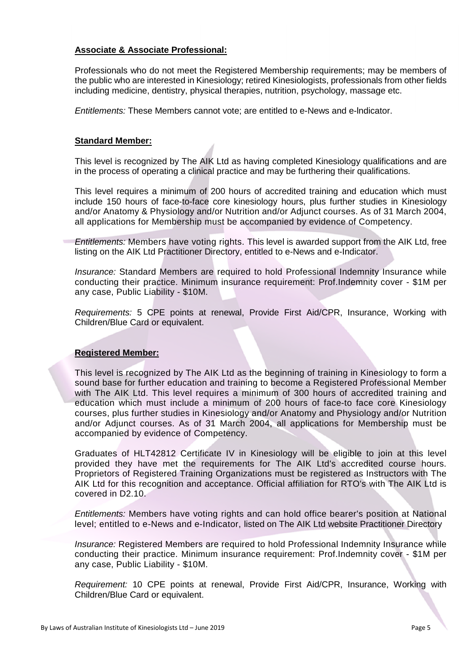#### **Associate & Associate Professional:**

Professionals who do not meet the Registered Membership requirements; may be members of the public who are interested in Kinesiology; retired Kinesiologists, professionals from other fields including medicine, dentistry, physical therapies, nutrition, psychology, massage etc.

*Entitlements:* These Members cannot vote; are entitled to e-News and e-lndicator.

### **Standard Member:**

This level is recognized by The AIK Ltd as having completed Kinesiology qualifications and are in the process of operating a clinical practice and may be furthering their qualifications.

This level requires a minimum of 200 hours of accredited training and education which must include 150 hours of face-to-face core kinesiology hours, plus further studies in Kinesiology and/or Anatomy & Physiology and/or Nutrition and/or Adjunct courses. As of 31 March 2004, all applications for Membership must be accompanied by evidence of Competency.

*Entitlements:* Members have voting rights. This level is awarded support from the AIK Ltd, free listing on the AIK Ltd Practitioner Directory, entitled to e-News and e-Indicator.

*Insurance:* Standard Members are required to hold Professional Indemnity Insurance while conducting their practice. Minimum insurance requirement: Prof.Indemnity cover - \$1M per any case, Public Liability - \$10M.

*Requirements:* 5 CPE points at renewal, Provide First Aid/CPR, Insurance, Working with Children/Blue Card or equivalent.

## **Registered Member:**

This level is recognized by The AIK Ltd as the beginning of training in Kinesiology to form a sound base for further education and training to become a Registered Professional Member with The AIK Ltd. This level requires a minimum of 300 hours of accredited training and education which must include a minimum of 200 hours of face-to face core Kinesiology courses, plus further studies in Kinesiology and/or Anatomy and Physiology and/or Nutrition and/or Adjunct courses. As of 31 March 2004, all applications for Membership must be accompanied by evidence of Competency.

Graduates of HLT42812 Certificate IV in Kinesiology will be eligible to join at this level provided they have met the requirements for The AIK Ltd's accredited course hours. Proprietors of Registered Training Organizations must be registered as Instructors with The AIK Ltd for this recognition and acceptance. Official affiliation for RTO's with The AIK Ltd is covered in D2.10.

*Entitlements:* Members have voting rights and can hold office bearer's position at National level; entitled to e-News and e-Indicator, listed on The AIK Ltd website Practitioner Directory

*Insurance:* Registered Members are required to hold Professional Indemnity Insurance while conducting their practice. Minimum insurance requirement: Prof.Indemnity cover - \$1M per any case, Public Liability - \$10M.

*Requirement:* 10 CPE points at renewal, Provide First Aid/CPR, Insurance, Working with Children/Blue Card or equivalent.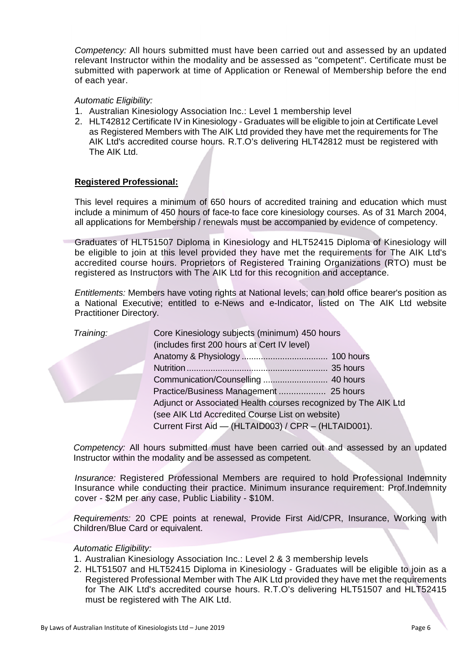*Competency:* All hours submitted must have been carried out and assessed by an updated relevant Instructor within the modality and be assessed as "competent". Certificate must be submitted with paperwork at time of Application or Renewal of Membership before the end of each year.

## *Automatic Eligibility:*

- 1. Australian Kinesiology Association Inc.: Level 1 membership level
- 2. HLT42812 Certificate IV in Kinesiology Graduates will be eligible to join at Certificate Level as Registered Members with The AIK Ltd provided they have met the requirements for The AIK Ltd's accredited course hours. R.T.O's delivering HLT42812 must be registered with The AIK Ltd.

#### **Registered Professional:**

This level requires a minimum of 650 hours of accredited training and education which must include a minimum of 450 hours of face-to face core kinesiology courses. As of 31 March 2004, all applications for Membership / renewals must be accompanied by evidence of competency.

Graduates of HLT51507 Diploma in Kinesiology and HLT52415 Diploma of Kinesiology will be eligible to join at this level provided they have met the requirements for The AIK Ltd's accredited course hours. Proprietors of Registered Training Organizations (RTO) must be registered as Instructors with The AIK Ltd for this recognition and acceptance.

*Entitlements:* Members have voting rights at National levels; can hold office bearer's position as a National Executive; entitled to e-News and e-Indicator, listed on The AIK Ltd website Practitioner Directory.

| Training: | Core Kinesiology subjects (minimum) 450 hours                  |  |
|-----------|----------------------------------------------------------------|--|
|           | (includes first 200 hours at Cert IV level)                    |  |
|           |                                                                |  |
|           |                                                                |  |
|           |                                                                |  |
|           |                                                                |  |
|           | Adjunct or Associated Health courses recognized by The AIK Ltd |  |
|           | (see AIK Ltd Accredited Course List on website)                |  |
|           | Current First Aid - (HLTAID003) / CPR - (HLTAID001).           |  |

*Competency:* All hours submitted must have been carried out and assessed by an updated Instructor within the modality and be assessed as competent.

*Insurance:* Registered Professional Members are required to hold Professional Indemnity Insurance while conducting their practice. Minimum insurance requirement: Prof.Indemnity cover - \$2M per any case, Public Liability - \$10M.

*Requirements:* 20 CPE points at renewal, Provide First Aid/CPR, Insurance, Working with Children/Blue Card or equivalent.

#### *Automatic Eligibility:*

- 1. Australian Kinesiology Association Inc.: Level 2 & 3 membership levels
- 2. HLT51507 and HLT52415 Diploma in Kinesiology Graduates will be eligible to join as a Registered Professional Member with The AIK Ltd provided they have met the requirements for The AIK Ltd's accredited course hours. R.T.O's delivering HLT51507 and HLT52415 must be registered with The AIK Ltd.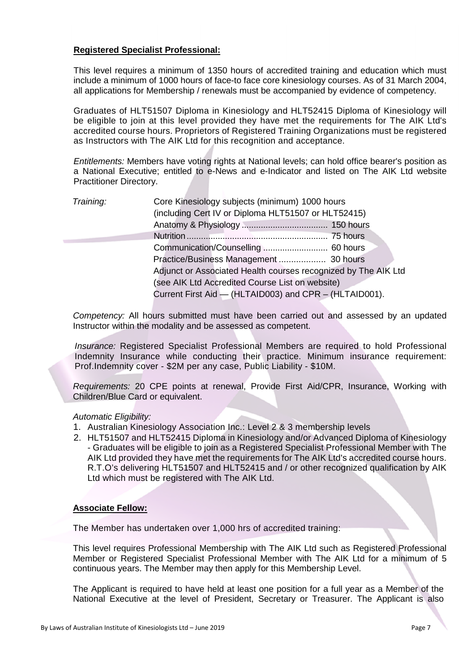### **Registered Specialist Professional:**

This level requires a minimum of 1350 hours of accredited training and education which must include a minimum of 1000 hours of face-to face core kinesiology courses. As of 31 March 2004, all applications for Membership / renewals must be accompanied by evidence of competency.

Graduates of HLT51507 Diploma in Kinesiology and HLT52415 Diploma of Kinesiology will be eligible to join at this level provided they have met the requirements for The AIK Ltd's accredited course hours. Proprietors of Registered Training Organizations must be registered as Instructors with The AIK Ltd for this recognition and acceptance.

*Entitlements:* Members have voting rights at National levels; can hold office bearer's position as a National Executive; entitled to e-News and e-Indicator and listed on The AIK Ltd website Practitioner Directory.

| Training: | Core Kinesiology subjects (minimum) 1000 hours                 |
|-----------|----------------------------------------------------------------|
|           | (including Cert IV or Diploma HLT51507 or HLT52415)            |
|           |                                                                |
|           |                                                                |
|           |                                                                |
|           |                                                                |
|           | Adjunct or Associated Health courses recognized by The AIK Ltd |
|           | (see AIK Ltd Accredited Course List on website)                |
|           | Current First Aid - (HLTAID003) and CPR - (HLTAID001).         |

*Competency:* All hours submitted must have been carried out and assessed by an updated Instructor within the modality and be assessed as competent.

*Insurance:* Registered Specialist Professional Members are required to hold Professional Indemnity Insurance while conducting their practice. Minimum insurance requirement: Prof.Indemnity cover - \$2M per any case, Public Liability - \$10M.

*Requirements:* 20 CPE points at renewal, Provide First Aid/CPR, Insurance, Working with Children/Blue Card or equivalent.

#### *Automatic Eligibility:*

- 1. Australian Kinesiology Association Inc.: Level 2 & 3 membership levels
- 2. HLT51507 and HLT52415 Diploma in Kinesiology and/or Advanced Diploma of Kinesiology - Graduates will be eligible to join as a Registered Specialist Professional Member with The AIK Ltd provided they have met the requirements for The AIK Ltd's accredited course hours. R.T.O's delivering HLT51507 and HLT52415 and / or other recognized qualification by AIK Ltd which must be registered with The AIK Ltd.

## **Associate Fellow:**

The Member has undertaken over 1,000 hrs of accredited training:

This level requires Professional Membership with The AIK Ltd such as Registered Professional Member or Registered Specialist Professional Member with The AIK Ltd for a minimum of 5 continuous years. The Member may then apply for this Membership Level.

The Applicant is required to have held at least one position for a full year as a Member of the National Executive at the level of President, Secretary or Treasurer. The Applicant is also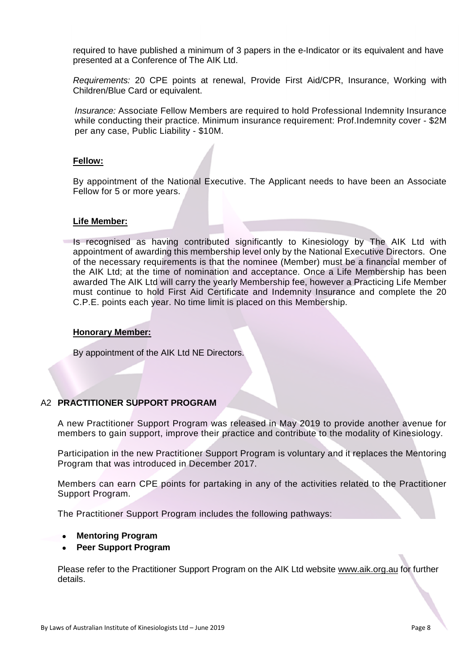required to have published a minimum of 3 papers in the e-Indicator or its equivalent and have presented at a Conference of The AIK Ltd.

*Requirements:* 20 CPE points at renewal, Provide First Aid/CPR, Insurance, Working with Children/Blue Card or equivalent.

*Insurance:* Associate Fellow Members are required to hold Professional Indemnity Insurance while conducting their practice. Minimum insurance requirement: Prof.Indemnity cover - \$2M per any case, Public Liability - \$10M.

#### **Fellow:**

By appointment of the National Executive. The Applicant needs to have been an Associate Fellow for 5 or more years.

#### **Life Member:**

Is recognised as having contributed significantly to Kinesiology by The AIK Ltd with appointment of awarding this membership level only by the National Executive Directors. One of the necessary requirements is that the nominee (Member) must be a financial member of the AIK Ltd; at the time of nomination and acceptance. Once a Life Membership has been awarded The AIK Ltd will carry the yearly Membership fee, however a Practicing Life Member must continue to hold First Aid Certificate and Indemnity Insurance and complete the 20 C.P.E. points each year. No time limit is placed on this Membership.

#### **Honorary Member:**

By appointment of the AIK Ltd NE Directors.

## A2 **PRACTITIONER SUPPORT PROGRAM**

A new Practitioner Support Program was released in May 2019 to provide another avenue for members to gain support, improve their practice and contribute to the modality of Kinesiology.

Participation in the new Practitioner Support Program is voluntary and it replaces the Mentoring Program that was introduced in December 2017.

Members can earn CPE points for partaking in any of the activities related to the Practitioner Support Program.

The Practitioner Support Program includes the following pathways:

#### **Mentoring Program**

**Peer Support Program**

Please refer to the Practitioner Support Program on the AIK Ltd website www.aik.org.au for further details.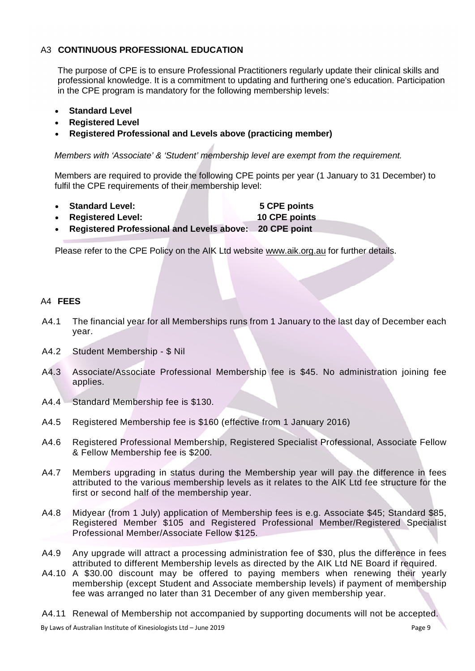# A3 **CONTINUOUS PROFESSIONAL EDUCATION**

The purpose of CPE is to ensure Professional Practitioners regularly update their clinical skills and professional knowledge. It is a commitment to updating and furthering one's education. Participation in the CPE program is mandatory for the following membership levels:

- **Standard Level**
- **Registered Level**
- **Registered Professional and Levels above (practicing member)**

*Members with 'Associate' & 'Student' membership level are exempt from the requirement.*

Members are required to provide the following CPE points per year (1 January to 31 December) to fulfil the CPE requirements of their membership level:

- **Standard Level: 5 CPE points**
	- **Registered Level: 10 CPE points**
- **Registered Professional and Levels above: 20 CPE point**

Please refer to the CPE Policy on the AIK Ltd website www.aik.org.au for further details.

## A4 **FEES**

- A4.1 The financial year for all Memberships runs from 1 January to the last day of December each year.
- A4.2 Student Membership \$ Nil
- A4.3 Associate/Associate Professional Membership fee is \$45. No administration joining fee applies.
- A4.4 Standard Membership fee is \$130.
- A4.5 Registered Membership fee is \$160 (effective from 1 January 2016)
- A4.6 Registered Professional Membership, Registered Specialist Professional, Associate Fellow & Fellow Membership fee is \$200.
- A4.7 Members upgrading in status during the Membership year will pay the difference in fees attributed to the various membership levels as it relates to the AIK Ltd fee structure for the first or second half of the membership year.
- A4.8 Midyear (from 1 July) application of Membership fees is e.g. Associate \$45; Standard \$85, Registered Member \$105 and Registered Professional Member/Registered Specialist Professional Member/Associate Fellow \$125.
- A4.9 Any upgrade will attract a processing administration fee of \$30, plus the difference in fees attributed to different Membership levels as directed by the AIK Ltd NE Board if required.
- A4.10 A \$30.00 discount may be offered to paying members when renewing their yearly membership (except Student and Associate membership levels) if payment of membership fee was arranged no later than 31 December of any given membership year.
- A4.11 Renewal of Membership not accompanied by supporting documents will not be accepted.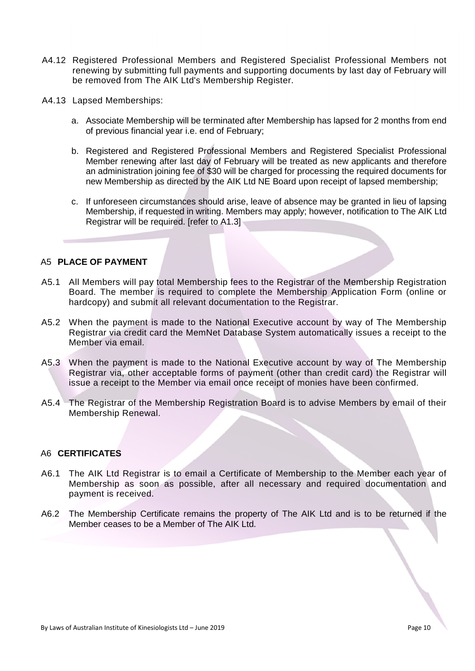- A4.12 Registered Professional Members and Registered Specialist Professional Members not renewing by submitting full payments and supporting documents by last day of February will be removed from The AIK Ltd's Membership Register.
- A4.13 Lapsed Memberships:
	- a. Associate Membership will be terminated after Membership has lapsed for 2 months from end of previous financial year i.e. end of February;
	- b. Registered and Registered Professional Members and Registered Specialist Professional Member renewing after last day of February will be treated as new applicants and therefore an administration joining fee of \$30 will be charged for processing the required documents for new Membership as directed by the AIK Ltd NE Board upon receipt of lapsed membership;
	- c. If unforeseen circumstances should arise, leave of absence may be granted in lieu of lapsing Membership, if requested in writing. Members may apply; however, notification to The AIK Ltd Registrar will be required. [refer to A1.3]

### A5 **PLACE OF PAYMENT**

- A5.1 All Members will pay total Membership fees to the Registrar of the Membership Registration Board. The member is required to complete the Membership Application Form (online or hardcopy) and submit all relevant documentation to the Registrar.
- A5.2 When the payment is made to the National Executive account by way of The Membership Registrar via credit card the MemNet Database System automatically issues a receipt to the Member via email.
- A5.3 When the payment is made to the National Executive account by way of The Membership Registrar via, other acceptable forms of payment (other than credit card) the Registrar will issue a receipt to the Member via email once receipt of monies have been confirmed.
- A5.4 The Registrar of the Membership Registration Board is to advise Members by email of their Membership Renewal.

#### A6 **CERTIFICATES**

- A6.1 The AIK Ltd Registrar is to email a Certificate of Membership to the Member each year of Membership as soon as possible, after all necessary and required documentation and payment is received.
- A6.2 The Membership Certificate remains the property of The AIK Ltd and is to be returned if the Member ceases to be a Member of The AIK Ltd.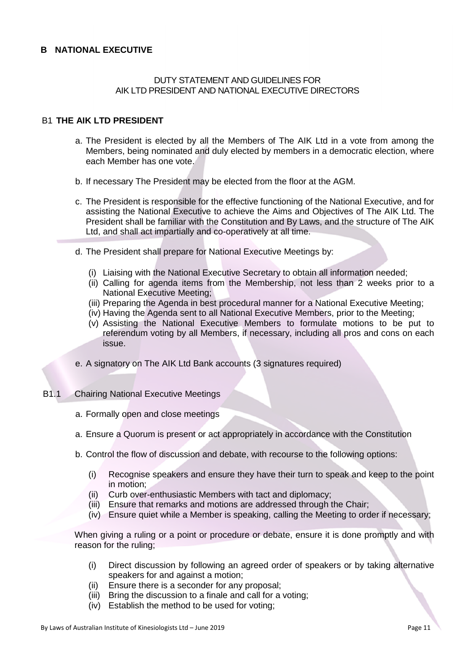#### **B NATIONAL EXECUTIVE**

#### DUTY STATEMENT AND GUIDELINES FOR AIK LTD PRESIDENT AND NATIONAL EXECUTIVE DIRECTORS

# B1 **THE AIK LTD PRESIDENT**

- a. The President is elected by all the Members of The AIK Ltd in a vote from among the Members, being nominated and duly elected by members in a democratic election, where each Member has one vote.
- b. If necessary The President may be elected from the floor at the AGM.
- c. The President is responsible for the effective functioning of the National Executive, and for assisting the National Executive to achieve the Aims and Objectives of The AIK Ltd. The President shall be familiar with the Constitution and By Laws, and the structure of The AIK Ltd, and shall act impartially and co-operatively at all time.
- d. The President shall prepare for National Executive Meetings by:
	- (i) Liaising with the National Executive Secretary to obtain all information needed;
	- (ii) Calling for agenda items from the Membership, not less than 2 weeks prior to a National Executive Meeting;
	- (iii) Preparing the Agenda in best procedural manner for a National Executive Meeting;
	- (iv) Having the Agenda sent to all National Executive Members, prior to the Meeting;
	- (v) Assisting the National Executive Members to formulate motions to be put to referendum voting by all Members, if necessary, including all pros and cons on each issue.
- e. A signatory on The AIK Ltd Bank accounts (3 signatures required)
- B1.1 Chairing National Executive Meetings
	- a. Formally open and close meetings
	- a. Ensure a Quorum is present or act appropriately in accordance with the Constitution
	- b. Control the flow of discussion and debate, with recourse to the following options:
		- (i) Recognise speakers and ensure they have their turn to speak and keep to the point in motion;
		- (ii) Curb over-enthusiastic Members with tact and diplomacy;
		- (iii) Ensure that remarks and motions are addressed through the Chair;
		- (iv) Ensure quiet while a Member is speaking, calling the Meeting to order if necessary;

When giving a ruling or a point or procedure or debate, ensure it is done promptly and with reason for the ruling;

- (i) Direct discussion by following an agreed order of speakers or by taking alternative speakers for and against a motion;
- (ii) Ensure there is a seconder for any proposal;
- (iii) Bring the discussion to a finale and call for a voting;
- (iv) Establish the method to be used for voting;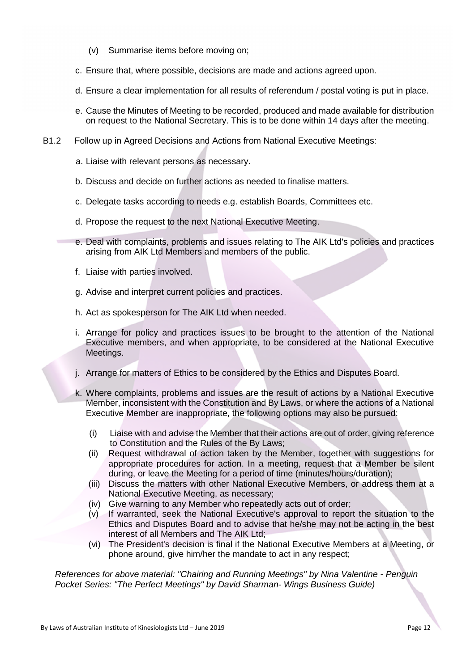- (v) Summarise items before moving on;
- c. Ensure that, where possible, decisions are made and actions agreed upon.
- d. Ensure a clear implementation for all results of referendum / postal voting is put in place.
- e. Cause the Minutes of Meeting to be recorded, produced and made available for distribution on request to the National Secretary. This is to be done within 14 days after the meeting.
- B1.2 Follow up in Agreed Decisions and Actions from National Executive Meetings:
	- a. Liaise with relevant persons as necessary.
	- b. Discuss and decide on further actions as needed to finalise matters.
	- c. Delegate tasks according to needs e.g. establish Boards, Committees etc.
	- d. Propose the request to the next National Executive Meeting.
	- e. Deal with complaints, problems and issues relating to The AIK Ltd's policies and practices arising from AIK Ltd Members and members of the public.
	- f. Liaise with parties involved.
	- g. Advise and interpret current policies and practices.
	- h. Act as spokesperson for The AIK Ltd when needed.
	- i. Arrange for policy and practices issues to be brought to the attention of the National Executive members, and when appropriate, to be considered at the National Executive Meetings.
	- j. Arrange for matters of Ethics to be considered by the Ethics and Disputes Board.
	- k. Where complaints, problems and issues are the result of actions by a National Executive Member, inconsistent with the Constitution and By Laws, or where the actions of a National Executive Member are inappropriate, the following options may also be pursued:
		- (i) Liaise with and advise the Member that their actions are out of order, giving reference to Constitution and the Rules of the By Laws;
		- (ii) Request withdrawal of action taken by the Member, together with suggestions for appropriate procedures for action. In a meeting, request that a Member be silent during, or leave the Meeting for a period of time (minutes/hours/duration);
		- (iii) Discuss the matters with other National Executive Members, or address them at a National Executive Meeting, as necessary;
		- (iv) Give warning to any Member who repeatedly acts out of order;
		- (v) If warranted, seek the National Executive's approval to report the situation to the Ethics and Disputes Board and to advise that he/she may not be acting in the best interest of all Members and The AIK Ltd;
		- (vi) The President's decision is final if the National Executive Members at a Meeting, or phone around, give him/her the mandate to act in any respect;

*References for above material: "Chairing and Running Meetings" by Nina Valentine - Penguin Pocket Series: "The Perfect Meetings" by David Sharman- Wings Business Guide)*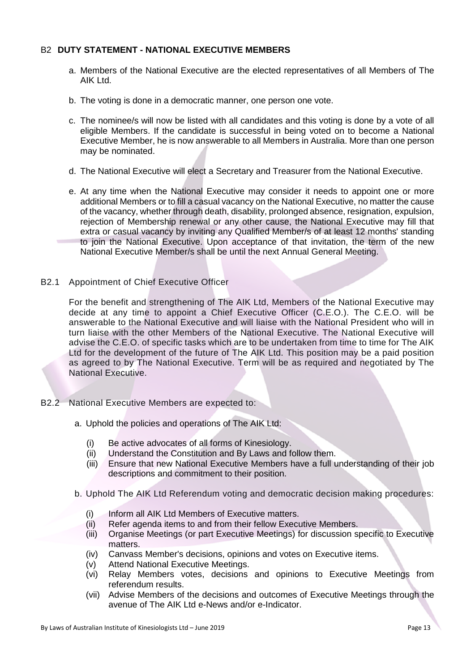# B2 **DUTY STATEMENT - NATIONAL EXECUTIVE MEMBERS**

- a. Members of the National Executive are the elected representatives of all Members of The AIK Ltd.
- b. The voting is done in a democratic manner, one person one vote.
- c. The nominee/s will now be listed with all candidates and this voting is done by a vote of all eligible Members. If the candidate is successful in being voted on to become a National Executive Member, he is now answerable to all Members in Australia. More than one person may be nominated.
- d. The National Executive will elect a Secretary and Treasurer from the National Executive.
- e. At any time when the National Executive may consider it needs to appoint one or more additional Members or to fill a casual vacancy on the National Executive, no matter the cause of the vacancy, whether through death, disability, prolonged absence, resignation, expulsion, rejection of Membership renewal or any other cause, the National Executive may fill that extra or casual vacancy by inviting any Qualified Member/s of at least 12 months' standing to join the National Executive. Upon acceptance of that invitation, the term of the new National Executive Member/s shall be until the next Annual General Meeting.
- B2.1 Appointment of Chief Executive Officer

For the benefit and strengthening of The AIK Ltd, Members of the National Executive may decide at any time to appoint a Chief Executive Officer (C.E.O.). The C.E.O. will be answerable to the National Executive and will liaise with the National President who will in turn liaise with the other Members of the National Executive. The National Executive will advise the C.E.O. of specific tasks which are to be undertaken from time to time for The AIK Ltd for the development of the future of The AIK Ltd. This position may be a paid position as agreed to by The National Executive. Term will be as required and negotiated by The National Executive.

- B2.2 National Executive Members are expected to:
	- a. Uphold the policies and operations of The AIK Ltd:
		- (i) Be active advocates of all forms of Kinesiology.
		- (ii) Understand the Constitution and By Laws and follow them.
		- (iii) Ensure that new National Executive Members have a full understanding of their job descriptions and commitment to their position.
	- b. Uphold The AIK Ltd Referendum voting and democratic decision making procedures:
		- (i) Inform all AIK Ltd Members of Executive matters.
		- (ii) Refer agenda items to and from their fellow Executive Members.
		- (iii) Organise Meetings (or part Executive Meetings) for discussion specific to Executive matters.
		- (iv) Canvass Member's decisions, opinions and votes on Executive items.
		- (v) Attend National Executive Meetings.
		- (vi) Relay Members votes, decisions and opinions to Executive Meetings from referendum results.
		- (vii) Advise Members of the decisions and outcomes of Executive Meetings through the avenue of The AIK Ltd e-News and/or e-Indicator.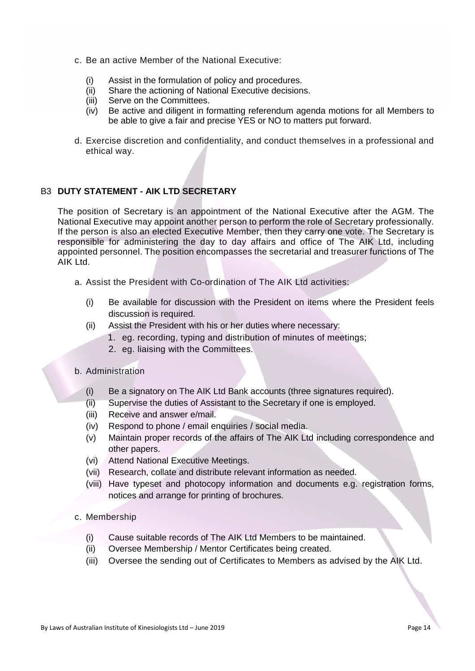- c. Be an active Member of the National Executive:
	- (i) Assist in the formulation of policy and procedures.
	- (ii) Share the actioning of National Executive decisions.
	- (iii) Serve on the Committees.
	- (iv) Be active and diligent in formatting referendum agenda motions for all Members to be able to give a fair and precise YES or NO to matters put forward.
- d. Exercise discretion and confidentiality, and conduct themselves in a professional and ethical way.

# B3 **DUTY STATEMENT - AIK LTD SECRETARY**

The position of Secretary is an appointment of the National Executive after the AGM. The National Executive may appoint another person to perform the role of Secretary professionally. If the person is also an elected Executive Member, then they carry one vote. The Secretary is responsible for administering the day to day affairs and office of The AIK Ltd, including appointed personnel. The position encompasses the secretarial and treasurer functions of The AIK Ltd.

- a. Assist the President with Co-ordination of The AIK Ltd activities:
	- (i) Be available for discussion with the President on items where the President feels discussion is required.
	- (ii) Assist the President with his or her duties where necessary:
		- 1. eg. recording, typing and distribution of minutes of meetings;
		- 2. eg. liaising with the Committees.

#### b. Administration

- (i) Be a signatory on The AIK Ltd Bank accounts (three signatures required).
- (ii) Supervise the duties of Assistant to the Secretary if one is employed.
- (iii) Receive and answer e/mail.
- (iv) Respond to phone / email enquiries / social media.
- (v) Maintain proper records of the affairs of The AIK Ltd including correspondence and other papers.
- (vi) Attend National Executive Meetings.
- (vii) Research, collate and distribute relevant information as needed.
- (viii) Have typeset and photocopy information and documents e.g. registration forms, notices and arrange for printing of brochures.

#### c. Membership

- (i) Cause suitable records of The AIK Ltd Members to be maintained.
- (ii) Oversee Membership / Mentor Certificates being created.
- (iii) Oversee the sending out of Certificates to Members as advised by the AIK Ltd.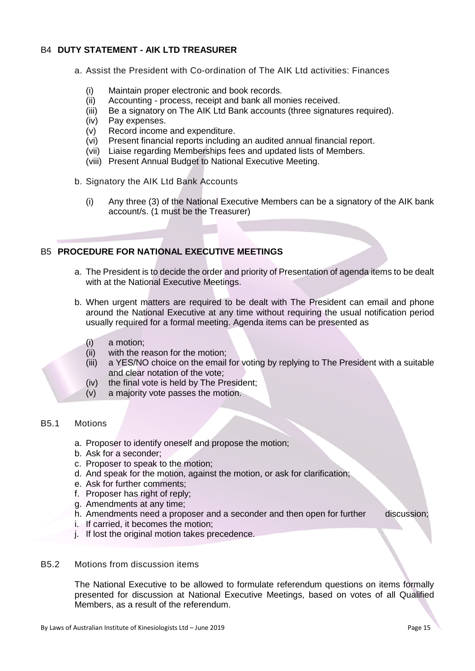# B4 **DUTY STATEMENT - AIK LTD TREASURER**

- a. Assist the President with Co-ordination of The AIK Ltd activities: Finances
	- (i) Maintain proper electronic and book records.
	- (ii) Accounting process, receipt and bank all monies received.
	- (iii) Be a signatory on The AIK Ltd Bank accounts (three signatures required).
	- (iv) Pay expenses.
	- (v) Record income and expenditure.
	- (vi) Present financial reports including an audited annual financial report.
	- (vii) Liaise regarding Memberships fees and updated lists of Members.
	- (viii) Present Annual Budget to National Executive Meeting.
- b. Signatory the AIK Ltd Bank Accounts
	- (i) Any three (3) of the National Executive Members can be a signatory of the AIK bank account/s. (1 must be the Treasurer)

# B5 **PROCEDURE FOR NATIONAL EXECUTIVE MEETINGS**

- a. The President is to decide the order and priority of Presentation of agenda items to be dealt with at the National Executive Meetings.
- b. When urgent matters are required to be dealt with The President can email and phone around the National Executive at any time without requiring the usual notification period usually required for a formal meeting. Agenda items can be presented as
	- (i) a motion;
	- (ii) with the reason for the motion;
	- (iii) a YES/NO choice on the email for voting by replying to The President with a suitable and clear notation of the vote;
	- (iv) the final vote is held by The President;
	- (v) a majority vote passes the motion.

#### B5.1 Motions

- a. Proposer to identify oneself and propose the motion;
- b. Ask for a seconder;
- c. Proposer to speak to the motion;
- d. And speak for the motion, against the motion, or ask for clarification;
- e. Ask for further comments;
- f. Proposer has right of reply;
- g. Amendments at any time;
- h. Amendments need a proposer and a seconder and then open for further discussion;
- i. If carried, it becomes the motion;
- j. If lost the original motion takes precedence.
- B5.2 Motions from discussion items

The National Executive to be allowed to formulate referendum questions on items formally presented for discussion at National Executive Meetings, based on votes of all Qualified Members, as a result of the referendum.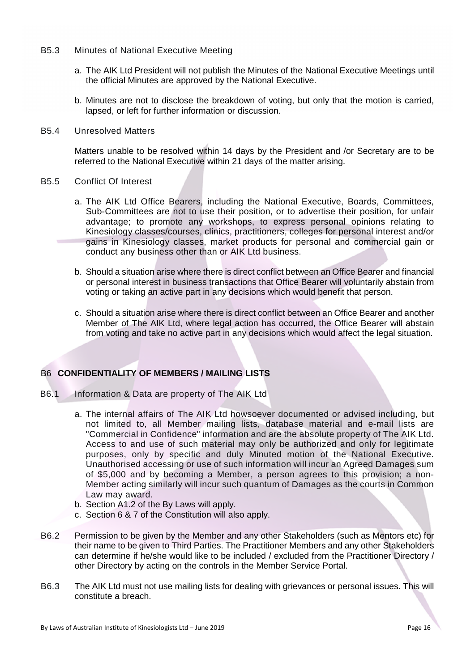- B5.3 Minutes of National Executive Meeting
	- a. The AIK Ltd President will not publish the Minutes of the National Executive Meetings until the official Minutes are approved by the National Executive.
	- b. Minutes are not to disclose the breakdown of voting, but only that the motion is carried, lapsed, or left for further information or discussion.
- B5.4 Unresolved Matters

Matters unable to be resolved within 14 days by the President and /or Secretary are to be referred to the National Executive within 21 days of the matter arising.

- B5.5 Conflict Of Interest
	- a. The AIK Ltd Office Bearers, including the National Executive, Boards, Committees, Sub-Committees are not to use their position, or to advertise their position, for unfair advantage; to promote any workshops, to express personal opinions relating to Kinesiology classes/courses, clinics, practitioners, colleges for personal interest and/or gains in Kinesiology classes, market products for personal and commercial gain or conduct any business other than or AIK Ltd business.
	- b. Should a situation arise where there is direct conflict between an Office Bearer and financial or personal interest in business transactions that Office Bearer will voluntarily abstain from voting or taking an active part in any decisions which would benefit that person.
	- c. Should a situation arise where there is direct conflict between an Office Bearer and another Member of The AIK Ltd, where legal action has occurred, the Office Bearer will abstain from voting and take no active part in any decisions which would affect the legal situation.

## B6 **CONFIDENTIALITY OF MEMBERS / MAILING LISTS**

- B6.1 Information & Data are property of The AIK Ltd
	- a. The internal affairs of The AIK Ltd howsoever documented or advised including, but not limited to, all Member mailing lists, database material and e-mail lists are "Commercial in Confidence" information and are the absolute property of The AIK Ltd. Access to and use of such material may only be authorized and only for legitimate purposes, only by specific and duly Minuted motion of the National Executive. Unauthorised accessing or use of such information will incur an Agreed Damages sum of \$5,000 and by becoming a Member, a person agrees to this provision; a non-Member acting similarly will incur such quantum of Damages as the courts in Common Law may award.
	- b. Section A1.2 of the By Laws will apply.
	- c. Section 6 & 7 of the Constitution will also apply.
- B6.2 Permission to be given by the Member and any other Stakeholders (such as Mentors etc) for their name to be given to Third Parties. The Practitioner Members and any other Stakeholders can determine if he/she would like to be included / excluded from the Practitioner Directory / other Directory by acting on the controls in the Member Service Portal.
- B6.3 The AIK Ltd must not use mailing lists for dealing with grievances or personal issues. This will constitute a breach.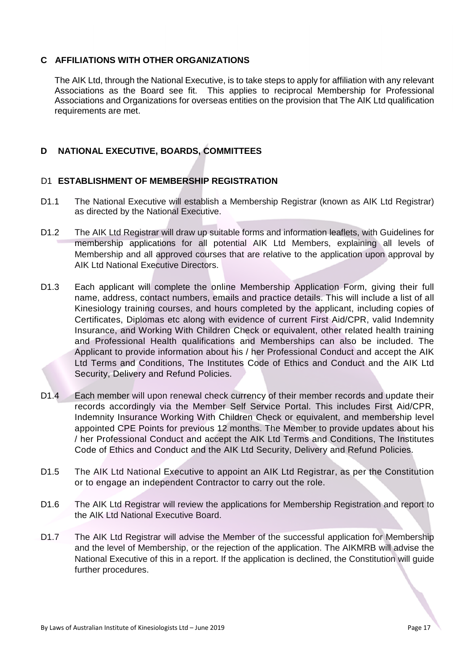# **C AFFILIATIONS WITH OTHER ORGANIZATIONS**

The AIK Ltd, through the National Executive, is to take steps to apply for affiliation with any relevant Associations as the Board see fit. This applies to reciprocal Membership for Professional Associations and Organizations for overseas entities on the provision that The AIK Ltd qualification requirements are met.

# **D NATIONAL EXECUTIVE, BOARDS, COMMITTEES**

## D1 **ESTABLISHMENT OF MEMBERSHIP REGISTRATION**

- D1.1 The National Executive will establish a Membership Registrar (known as AIK Ltd Registrar) as directed by the National Executive.
- D1.2 The AIK Ltd Registrar will draw up suitable forms and information leaflets, with Guidelines for membership applications for all potential AIK Ltd Members, explaining all levels of Membership and all approved courses that are relative to the application upon approval by AIK Ltd National Executive Directors.
- D1.3 Each applicant will complete the online Membership Application Form, giving their full name, address, contact numbers, emails and practice details. This will include a list of all Kinesiology training courses, and hours completed by the applicant, including copies of Certificates, Diplomas etc along with evidence of current First Aid/CPR, valid Indemnity Insurance, and Working With Children Check or equivalent, other related health training and Professional Health qualifications and Memberships can also be included. The Applicant to provide information about his / her Professional Conduct and accept the AIK Ltd Terms and Conditions, The Institutes Code of Ethics and Conduct and the AIK Ltd Security, Delivery and Refund Policies.
- D1.4 Each member will upon renewal check currency of their member records and update their records accordingly via the Member Self Service Portal. This includes First Aid/CPR, Indemnity Insurance Working With Children Check or equivalent, and membership level appointed CPE Points for previous 12 months. The Member to provide updates about his / her Professional Conduct and accept the AIK Ltd Terms and Conditions, The Institutes Code of Ethics and Conduct and the AIK Ltd Security, Delivery and Refund Policies.
- D1.5 The AIK Ltd National Executive to appoint an AIK Ltd Registrar, as per the Constitution or to engage an independent Contractor to carry out the role.
- D1.6 The AIK Ltd Registrar will review the applications for Membership Registration and report to the AIK Ltd National Executive Board.
- D1.7 The AIK Ltd Registrar will advise the Member of the successful application for Membership and the level of Membership, or the rejection of the application. The AIKMRB will advise the National Executive of this in a report. If the application is declined, the Constitution will guide further procedures.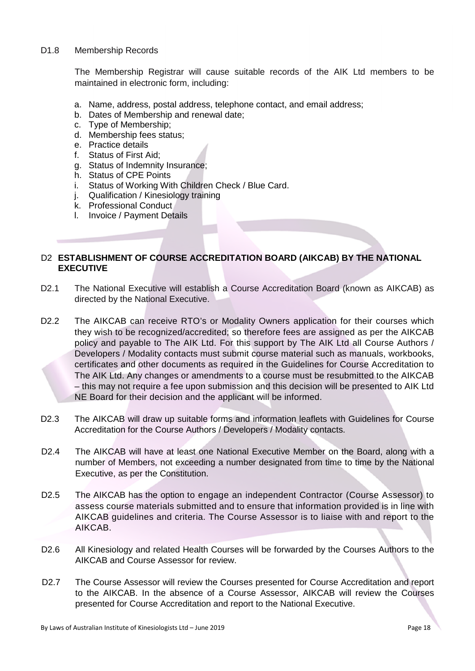#### D1.8 Membership Records

The Membership Registrar will cause suitable records of the AIK Ltd members to be maintained in electronic form, including:

- a. Name, address, postal address, telephone contact, and email address;
- b. Dates of Membership and renewal date;
- c. Type of Membership;
- d. Membership fees status;
- e. Practice details
- f. Status of First Aid;
- g. Status of Indemnity Insurance;
- h. Status of CPE Points
- i. Status of Working With Children Check / Blue Card.
- j. Qualification / Kinesiology training
- k. Professional Conduct
- l. Invoice / Payment Details

# D2 **ESTABLISHMENT OF COURSE ACCREDITATION BOARD (AIKCAB) BY THE NATIONAL EXECUTIVE**

- D2.1 The National Executive will establish a Course Accreditation Board (known as AIKCAB) as directed by the National Executive.
- D2.2 The AIKCAB can receive RTO's or Modality Owners application for their courses which they wish to be recognized/accredited; so therefore fees are assigned as per the AIKCAB policy and payable to The AIK Ltd. For this support by The AIK Ltd all Course Authors / Developers / Modality contacts must submit course material such as manuals, workbooks, certificates and other documents as required in the Guidelines for Course Accreditation to The AIK Ltd. Any changes or amendments to a course must be resubmitted to the AIKCAB – this may not require a fee upon submission and this decision will be presented to AIK Ltd NE Board for their decision and the applicant will be informed.
- D2.3 The AIKCAB will draw up suitable forms and information leaflets with Guidelines for Course Accreditation for the Course Authors / Developers / Modality contacts.
- D2.4 The AIKCAB will have at least one National Executive Member on the Board, along with a number of Members, not exceeding a number designated from time to time by the National Executive, as per the Constitution.
- D2.5 The AIKCAB has the option to engage an independent Contractor (Course Assessor) to assess course materials submitted and to ensure that information provided is in line with AIKCAB guidelines and criteria. The Course Assessor is to liaise with and report to the AIKCAB.
- D2.6 All Kinesiology and related Health Courses will be forwarded by the Courses Authors to the AIKCAB and Course Assessor for review.
- D2.7 The Course Assessor will review the Courses presented for Course Accreditation and report to the AIKCAB. In the absence of a Course Assessor, AIKCAB will review the Courses presented for Course Accreditation and report to the National Executive.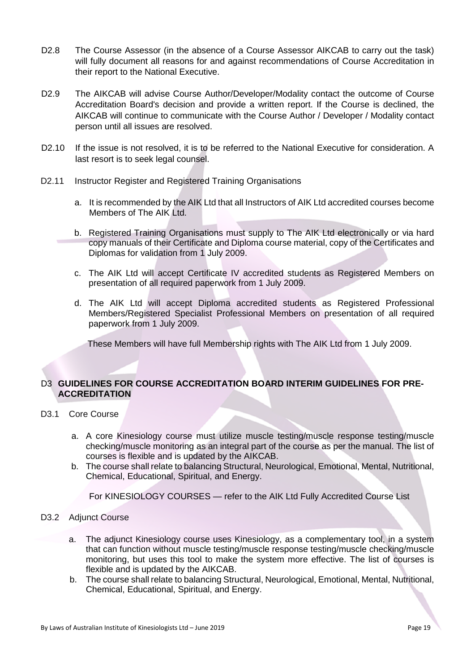- D2.8 The Course Assessor (in the absence of a Course Assessor AIKCAB to carry out the task) will fully document all reasons for and against recommendations of Course Accreditation in their report to the National Executive.
- D2.9 The AIKCAB will advise Course Author/Developer/Modality contact the outcome of Course Accreditation Board's decision and provide a written report. If the Course is declined, the AIKCAB will continue to communicate with the Course Author / Developer / Modality contact person until all issues are resolved.
- D2.10 If the issue is not resolved, it is to be referred to the National Executive for consideration. A last resort is to seek legal counsel.
- D2.11 Instructor Register and Registered Training Organisations
	- a. It is recommended by the AIK Ltd that all Instructors of AIK Ltd accredited courses become Members of The AIK Ltd.
	- b. Registered Training Organisations must supply to The AIK Ltd electronically or via hard copy manuals of their Certificate and Diploma course material, copy of the Certificates and Diplomas for validation from 1 July 2009.
	- c. The AIK Ltd will accept Certificate IV accredited students as Registered Members on presentation of all required paperwork from 1 July 2009.
	- d. The AIK Ltd will accept Diploma accredited students as Registered Professional Members/Registered Specialist Professional Members on presentation of all required paperwork from 1 July 2009.

These Members will have full Membership rights with The AIK Ltd from 1 July 2009.

# D3 **GUIDELINES FOR COURSE ACCREDITATION BOARD INTERIM GUIDELINES FOR PRE-ACCREDITATION**

- D3.1 Core Course
	- a. A core Kinesiology course must utilize muscle testing/muscle response testing/muscle checking/muscle monitoring as an integral part of the course as per the manual. The list of courses is flexible and is updated by the AIKCAB.
	- b. The course shall relate to balancing Structural, Neurological, Emotional, Mental, Nutritional, Chemical, Educational, Spiritual, and Energy.

For KINESIOLOGY COURSES — refer to the AIK Ltd Fully Accredited Course List

## D3.2 Adjunct Course

- a. The adjunct Kinesiology course uses Kinesiology, as a complementary tool, in a system that can function without muscle testing/muscle response testing/muscle checking/muscle monitoring, but uses this tool to make the system more effective. The list of courses is flexible and is updated by the AIKCAB.
- b. The course shall relate to balancing Structural, Neurological, Emotional, Mental, Nutritional, Chemical, Educational, Spiritual, and Energy.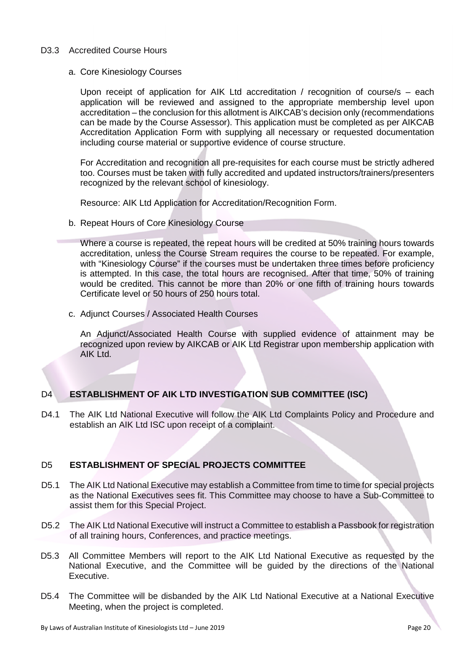#### D3.3 Accredited Course Hours

a. Core Kinesiology Courses

Upon receipt of application for AIK Ltd accreditation / recognition of course/s – each application will be reviewed and assigned to the appropriate membership level upon accreditation – the conclusion for this allotment is AIKCAB's decision only (recommendations can be made by the Course Assessor). This application must be completed as per AIKCAB Accreditation Application Form with supplying all necessary or requested documentation including course material or supportive evidence of course structure.

For Accreditation and recognition all pre-requisites for each course must be strictly adhered too. Courses must be taken with fully accredited and updated instructors/trainers/presenters recognized by the relevant school of kinesiology.

Resource: AIK Ltd Application for Accreditation/Recognition Form.

b. Repeat Hours of Core Kinesiology Course

Where a course is repeated, the repeat hours will be credited at 50% training hours towards accreditation, unless the Course Stream requires the course to be repeated. For example, with "Kinesiology Course" if the courses must be undertaken three times before proficiency is attempted. In this case, the total hours are recognised. After that time, 50% of training would be credited. This cannot be more than 20% or one fifth of training hours towards Certificate level or 50 hours of 250 hours total.

c. Adjunct Courses / Associated Health Courses

An Adjunct/Associated Health Course with supplied evidence of attainment may be recognized upon review by AIKCAB or AIK Ltd Registrar upon membership application with AIK Ltd.

## D4 **ESTABLISHMENT OF AIK LTD INVESTIGATION SUB COMMITTEE (ISC)**

D4.1 The AIK Ltd National Executive will follow the AIK Ltd Complaints Policy and Procedure and establish an AIK Ltd ISC upon receipt of a complaint.

# D5 **ESTABLISHMENT OF SPECIAL PROJECTS COMMITTEE**

- D5.1 The AIK Ltd National Executive may establish a Committee from time to time for special projects as the National Executives sees fit. This Committee may choose to have a Sub-Committee to assist them for this Special Project.
- D5.2 The AIK Ltd National Executive will instruct a Committee to establish a Passbook for registration of all training hours, Conferences, and practice meetings.
- D5.3 All Committee Members will report to the AIK Ltd National Executive as requested by the National Executive, and the Committee will be guided by the directions of the National Executive.
- D5.4 The Committee will be disbanded by the AIK Ltd National Executive at a National Executive Meeting, when the project is completed.